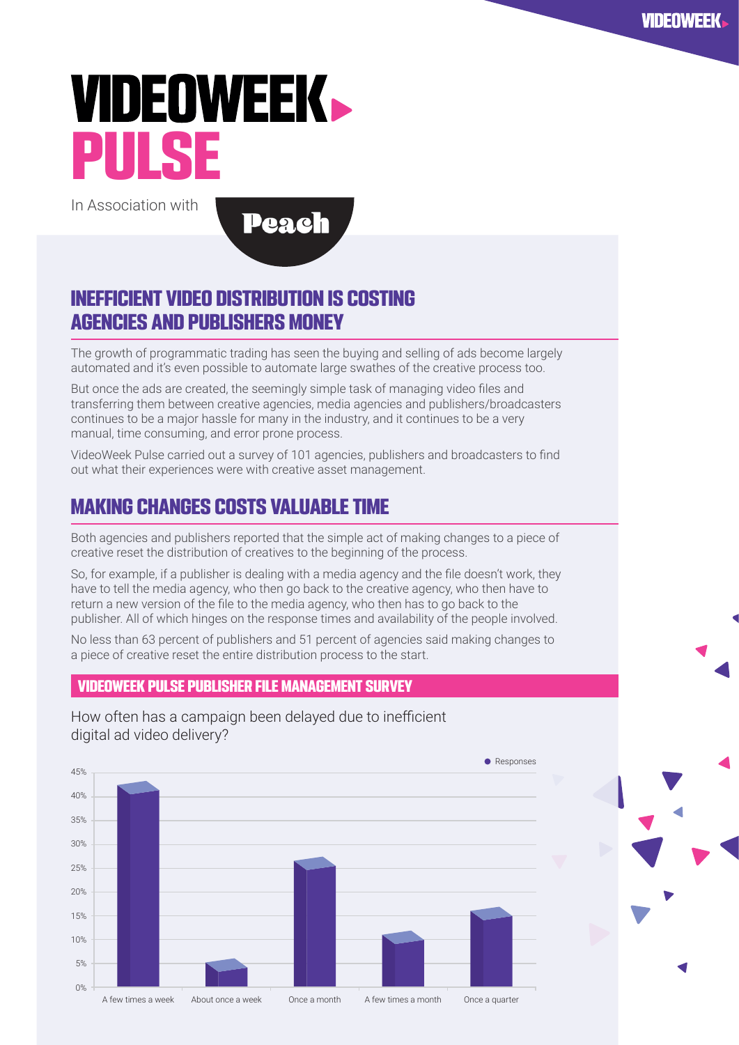# **VIDEOWEEK.** PIII S

In Association with

**Peach** 

### INEFFICIENT VIDEO DISTRIBUTION IS COSTING AGENCIES AND PUBLISHERS MONEY

The growth of programmatic trading has seen the buying and selling of ads become largely automated and it's even possible to automate large swathes of the creative process too.

But once the ads are created, the seemingly simple task of managing video files and transferring them between creative agencies, media agencies and publishers/broadcasters continues to be a major hassle for many in the industry, and it continues to be a very manual, time consuming, and error prone process.

VideoWeek Pulse carried out a survey of 101 agencies, publishers and broadcasters to find out what their experiences were with creative asset management.

## MAKING CHANGES COSTS VALUABLE TIME

Both agencies and publishers reported that the simple act of making changes to a piece of creative reset the distribution of creatives to the beginning of the process.

So, for example, if a publisher is dealing with a media agency and the file doesn't work, they have to tell the media agency, who then go back to the creative agency, who then have to return a new version of the file to the media agency, who then has to go back to the publisher. All of which hinges on the response times and availability of the people involved.

No less than 63 percent of publishers and 51 percent of agencies said making changes to a piece of creative reset the entire distribution process to the start.

#### VIDEOWEEK PULSE PUBLISHER FILE MANAGEMENT SURVEY

How often has a campaign been delayed due to inefficient digital ad video delivery?